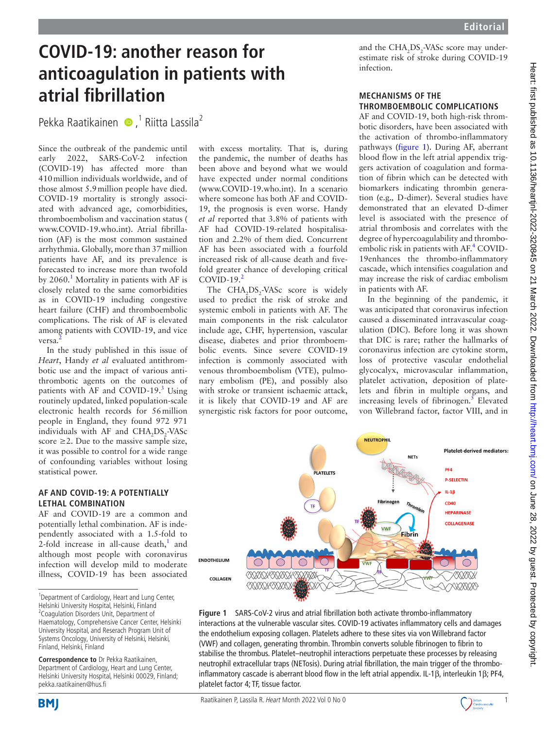# Heart: first published as 10.1136/heartjnl-2022-320845 on 21 March 2022. Downloaded from http://heart.bmj.com/ on June 28, 2022 by guest. Protected by copyright Heart: first published as 10.1136/heartjnl-2022-320845 on 21 March 2022. Downloaded from <http://heart.bmj.com/> on June 28, 2022 by guest. Protected by copyright.

# **COVID-19: another reason for anticoagulation in patients with atrial fibrillation**

Pekka Raatikainen  $\bullet$ ,<sup>1</sup> Riitta Lassila<sup>2</sup>

Since the outbreak of the pandemic until early 2022, SARS-CoV-2 infection (COVID-19) has affected more than 410million individuals worldwide, and of those almost 5.9million people have died. COVID-19 mortality is strongly associated with advanced age, comorbidities, thromboembolism and vaccination status ( <www.COVID-19.who.int>). Atrial fibrillation (AF) is the most common sustained arrhythmia. Globally, more than 37million patients have AF, and its prevalence is forecasted to increase more than twofold by 2060.<sup>1</sup> Mortality in patients with AF is closely related to the same comorbidities as in COVID-19 including congestive heart failure (CHF) and thromboembolic complications. The risk of AF is elevated among patients with COVID-19, and vice versa.

In the study published in this issue of *Heart*, Handy *et al* evaluated antithrombotic use and the impact of various antithrombotic agents on the outcomes of patients with AF and COVID-19.<sup>3</sup> Using routinely updated, linked population-scale electronic health records for 56million people in England, they found 972 971 individuals with AF and  $CHA<sub>2</sub>DS<sub>2</sub>-VASC$ score  $\geq$ 2. Due to the massive sample size, it was possible to control for a wide range of confounding variables without losing statistical power.

### **AF AND COVID-19: A POTENTIALLY LETHAL COMBINATION**

AF and COVID-19 are a common and potentially lethal combination. AF is independently associated with a 1.5-fold to 2-fold increase in all-cause death, $<sup>1</sup>$  $<sup>1</sup>$  $<sup>1</sup>$  and</sup> although most people with coronavirus infection will develop mild to moderate illness, COVID-19 has been associated

**Correspondence to** Dr Pekka Raatikainen, Department of Cardiology, Heart and Lung Center, Helsinki University Hospital, Helsinki 00029, Finland; pekka.raatikainen@hus.fi

with excess mortality. That is, during the pandemic, the number of deaths has been above and beyond what we would have expected under normal conditions (<www.COVID-19.who.int>). In a scenario where someone has both AF and COVID-19, the prognosis is even worse. Handy *et al* reported that 3.8% of patients with AF had COVID-19-related hospitalisation and 2.2% of them died. Concurrent AF has been associated with a fourfold increased risk of all-cause death and fivefold greater chance of developing critical COVID-19. $<sup>2</sup>$  $<sup>2</sup>$  $<sup>2</sup>$ </sup>

The  $CHA<sub>2</sub>DS<sub>2</sub> - VASc$  score is widely used to predict the risk of stroke and systemic emboli in patients with AF. The main components in the risk calculator include age, CHF, hypertension, vascular disease, diabetes and prior thromboembolic events. Since severe COVID-19 infection is commonly associated with venous thromboembolism (VTE), pulmonary embolism (PE), and possibly also with stroke or transient ischaemic attack, it is likely that COVID-19 and AF are synergistic risk factors for poor outcome,

and the  $\text{CHA}_{2}\text{DS}_{2}\text{-}\text{VASc score may under-}$ estimate risk of stroke during COVID-19 infection.

# **MECHANISMS OF THE THROMBOEMBOLIC COMPLICATIONS**

AF and COVID-19, both high-risk thrombotic disorders, have been associated with the activation of thrombo-inflammatory pathways ([figure](#page-0-0) 1). During AF, aberrant blood flow in the left atrial appendix triggers activation of coagulation and formation of fibrin which can be detected with biomarkers indicating thrombin generation (e.g.*,* D-dimer). Several studies have demonstrated that an elevated D-dimer level is associated with the presence of atrial thrombosis and correlates with the degree of hypercoagulability and thromboembolic risk in patients with AF.<sup>4</sup> COVID-19enhances the thrombo-inflammatory cascade, which intensifies coagulation and may increase the risk of cardiac embolism in patients with AF.

In the beginning of the pandemic, it was anticipated that coronavirus infection caused a disseminated intravascular coagulation (DIC). Before long it was shown that DIC is rare; rather the hallmarks of coronavirus infection are cytokine storm, loss of protective vascular endothelial glycocalyx, microvascular inflammation, platelet activation, deposition of platelets and fibrin in multiple organs, and increasing levels of fibrinogen. $5$  Elevated von Willebrand factor, factor VIII, and in



<span id="page-0-0"></span>**Figure 1** SARS-CoV-2 virus and atrial fibrillation both activate thrombo-inflammatory interactions at the vulnerable vascular sites. COVID-19 activates inflammatory cells and damages the endothelium exposing collagen. Platelets adhere to these sites via von Willebrand factor (VWF) and collagen, generating thrombin. Thrombin converts soluble fibrinogen to fibrin to stabilise the thrombus. Platelet–neutrophil interactions perpetuate these processes by releasing neutrophil extracellular traps (NETosis). During atrial fibrillation, the main trigger of the thromboinflammatory cascade is aberrant blood flow in the left atrial appendix. IL-1β, interleukin 1β; PF4, platelet factor 4; TF, tissue factor.



<sup>&</sup>lt;sup>1</sup>Department of Cardiology, Heart and Lung Center, Helsinki University Hospital, Helsinki, Finland <sup>2</sup> Coagulation Disorders Unit, Department of Haematology, Comprehensive Cancer Center, Helsinki University Hospital, and Reserach Program Unit of Systems Oncology, University of Helsinki, Helsinki, Finland, Helsinki, Finland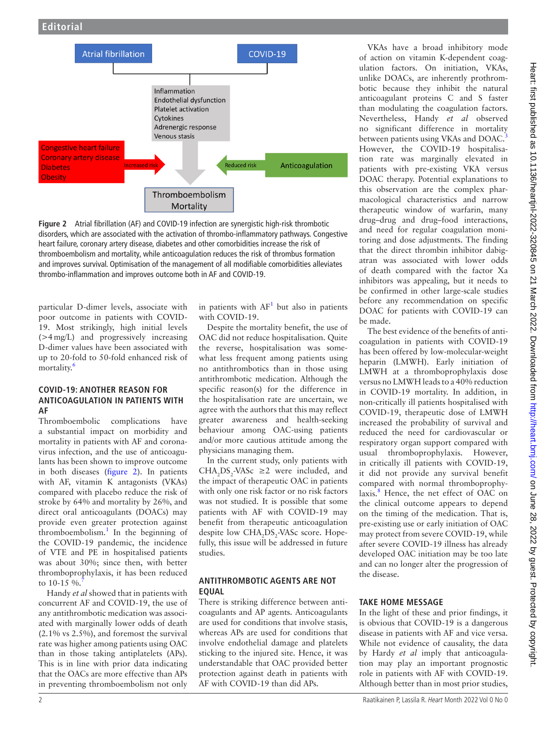

<span id="page-1-0"></span>**Figure 2** Atrial fibrillation (AF) and COVID-19 infection are synergistic high-risk thrombotic disorders, which are associated with the activation of thrombo-inflammatory pathways. Congestive heart failure, coronary artery disease, diabetes and other comorbidities increase the risk of thromboembolism and mortality, while anticoagulation reduces the risk of thrombus formation and improves survival. Optimisation of the management of all modifiable comorbidities alleviates thrombo-inflammation and improves outcome both in AF and COVID-19.

particular D-dimer levels, associate with poor outcome in patients with COVID-19. Most strikingly, high initial levels (>4mg/L) and progressively increasing D-dimer values have been associated with up to 20-fold to 50-fold enhanced risk of mortality.<sup>[6](#page-2-5)</sup>

### **COVID-19: ANOTHER REASON FOR ANTICOAGULATION IN PATIENTS WITH AF**

Thromboembolic complications have a substantial impact on morbidity and mortality in patients with AF and coronavirus infection, and the use of anticoagulants has been shown to improve outcome in both diseases ([figure](#page-1-0) 2). In patients with AF, vitamin K antagonists (VKAs) compared with placebo reduce the risk of stroke by 64% and mortality by 26%, and direct oral anticoagulants (DOACs) may provide even greater protection against thromboembolism.<sup>[1](#page-2-0)</sup> In the beginning of the COVID-19 pandemic, the incidence of VTE and PE in hospitalised patients was about 30%; since then, with better thromboprophylaxis, it has been reduced to 10-15 %.

Handy *et al* showed that in patients with concurrent AF and COVID-19, the use of any antithrombotic medication was associated with marginally lower odds of death (2.1% vs 2.5%), and foremost the survival rate was higher among patients using OAC than in those taking antiplatelets (APs). This is in line with prior data indicating that the OACs are more effective than APs in preventing thromboembolism not only

in patients with  $AF<sup>1</sup>$  but also in patients with COVID-19.

Despite the mortality benefit, the use of OAC did not reduce hospitalisation. Quite the reverse, hospitalisation was somewhat less frequent among patients using no antithrombotics than in those using antithrombotic medication. Although the specific reason(s) for the difference in the hospitalisation rate are uncertain, we agree with the authors that this may reflect greater awareness and health-seeking behaviour among OAC-using patients and/or more cautious attitude among the physicians managing them.

In the current study, only patients with CHA<sub>2</sub>DS<sub>2</sub>-VASc  $\geq$ 2 were included, and the impact of therapeutic OAC in patients with only one risk factor or no risk factors was not studied. It is possible that some patients with AF with COVID-19 may benefit from therapeutic anticoagulation despite low CHA<sub>2</sub>DS<sub>2</sub>-VASc score. Hopefully, this issue will be addressed in future studies.

## **ANTITHROMBOTIC AGENTS ARE NOT EQUAL**

There is striking difference between anticoagulants and AP agents. Anticoagulants are used for conditions that involve stasis, whereas APs are used for conditions that involve endothelial damage and platelets sticking to the injured site. Hence, it was understandable that OAC provided better protection against death in patients with AF with COVID-19 than did APs.

VKAs have a broad inhibitory mode of action on vitamin K-dependent coagulation factors. On initiation, VKAs, unlike DOACs, are inherently prothrombotic because they inhibit the natural anticoagulant proteins C and S faster than modulating the coagulation factors. Nevertheless, Handy *et al* observed no significant difference in mortality between patients using VKAs and DOAC.<sup>[3](#page-2-2)</sup> However, the COVID-19 hospitalisation rate was marginally elevated in patients with pre-existing VKA versus DOAC therapy. Potential explanations to this observation are the complex pharmacological characteristics and narrow therapeutic window of warfarin, many drug–drug and drug–food interactions, and need for regular coagulation monitoring and dose adjustments. The finding that the direct thrombin inhibitor dabigatran was associated with lower odds of death compared with the factor Xa inhibitors was appealing, but it needs to be confirmed in other large-scale studies before any recommendation on specific DOAC for patients with COVID-19 can be made.

The best evidence of the benefits of anticoagulation in patients with COVID-19 has been offered by low-molecular-weight heparin (LMWH). Early initiation of LMWH at a thromboprophylaxis dose versus no LMWH leads to a 40% reduction in COVID-19 mortality. In addition, in non-critically ill patients hospitalised with COVID-19, therapeutic dose of LMWH increased the probability of survival and reduced the need for cardiovascular or respiratory organ support compared with usual thromboprophylaxis. However, in critically ill patients with COVID-19, it did not provide any survival benefit compared with normal thromboprophylaxis.<sup>8</sup> Hence, the net effect of OAC on the clinical outcome appears to depend on the timing of the medication. That is, pre-existing use or early initiation of OAC may protect from severe COVID-19, while after severe COVID-19 illness has already developed OAC initiation may be too late and can no longer alter the progression of the disease.

## **TAKE HOME MESSAGE**

In the light of these and prior findings, it is obvious that COVID-19 is a dangerous disease in patients with AF and vice versa. While not evidence of causality, the data by Hardy *et al* imply that anticoagulation may play an important prognostic role in patients with AF with COVID-19. Although better than in most prior studies,